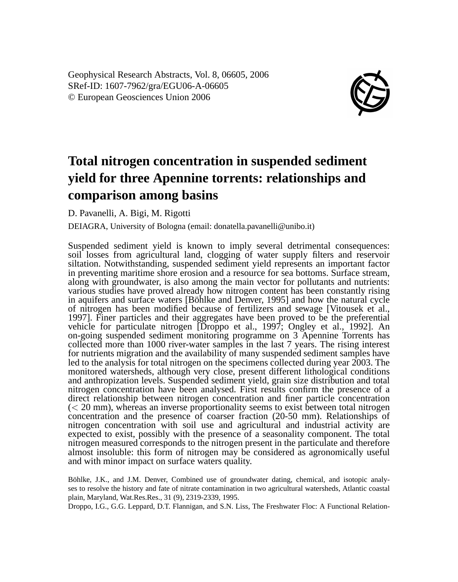Geophysical Research Abstracts, Vol. 8, 06605, 2006 SRef-ID: 1607-7962/gra/EGU06-A-06605 © European Geosciences Union 2006



## **Total nitrogen concentration in suspended sediment yield for three Apennine torrents: relationships and comparison among basins**

D. Pavanelli, A. Bigi, M. Rigotti

DEIAGRA, University of Bologna (email: donatella.pavanelli@unibo.it)

Suspended sediment yield is known to imply several detrimental consequences: soil losses from agricultural land, clogging of water supply filters and reservoir siltation. Notwithstanding, suspended sediment yield represents an important factor in preventing maritime shore erosion and a resource for sea bottoms. Surface stream, along with groundwater, is also among the main vector for pollutants and nutrients: various studies have proved already how nitrogen content has been constantly rising in aquifers and surface waters [Böhlke and Denver, 1995] and how the natural cycle of nitrogen has been modified because of fertilizers and sewage [Vitousek et al., 1997]. Finer particles and their aggregates have been proved to be the preferential vehicle for particulate nitrogen [Droppo et al., 1997; Ongley et al., 1992]. An on-going suspended sediment monitoring programme on 3 Apennine Torrents has collected more than 1000 river-water samples in the last 7 years. The rising interest for nutrients migration and the availability of many suspended sediment samples have led to the analysis for total nitrogen on the specimens collected during year 2003. The monitored watersheds, although very close, present different lithological conditions and anthropization levels. Suspended sediment yield, grain size distribution and total nitrogen concentration have been analysed. First results confirm the presence of a direct relationship between nitrogen concentration and finer particle concentration  $\ll$  20 mm), whereas an inverse proportionality seems to exist between total nitrogen concentration and the presence of coarser fraction (20-50 mm). Relationships of nitrogen concentration with soil use and agricultural and industrial activity are expected to exist, possibly with the presence of a seasonality component. The total nitrogen measured corresponds to the nitrogen present in the particulate and therefore almost insoluble: this form of nitrogen may be considered as agronomically useful and with minor impact on surface waters quality.

Böhlke, J.K., and J.M. Denver, Combined use of groundwater dating, chemical, and isotopic analyses to resolve the history and fate of nitrate contamination in two agricultural watersheds, Atlantic coastal plain, Maryland, Wat.Res.Res., 31 (9), 2319-2339, 1995.

Droppo, I.G., G.G. Leppard, D.T. Flannigan, and S.N. Liss, The Freshwater Floc: A Functional Relation-